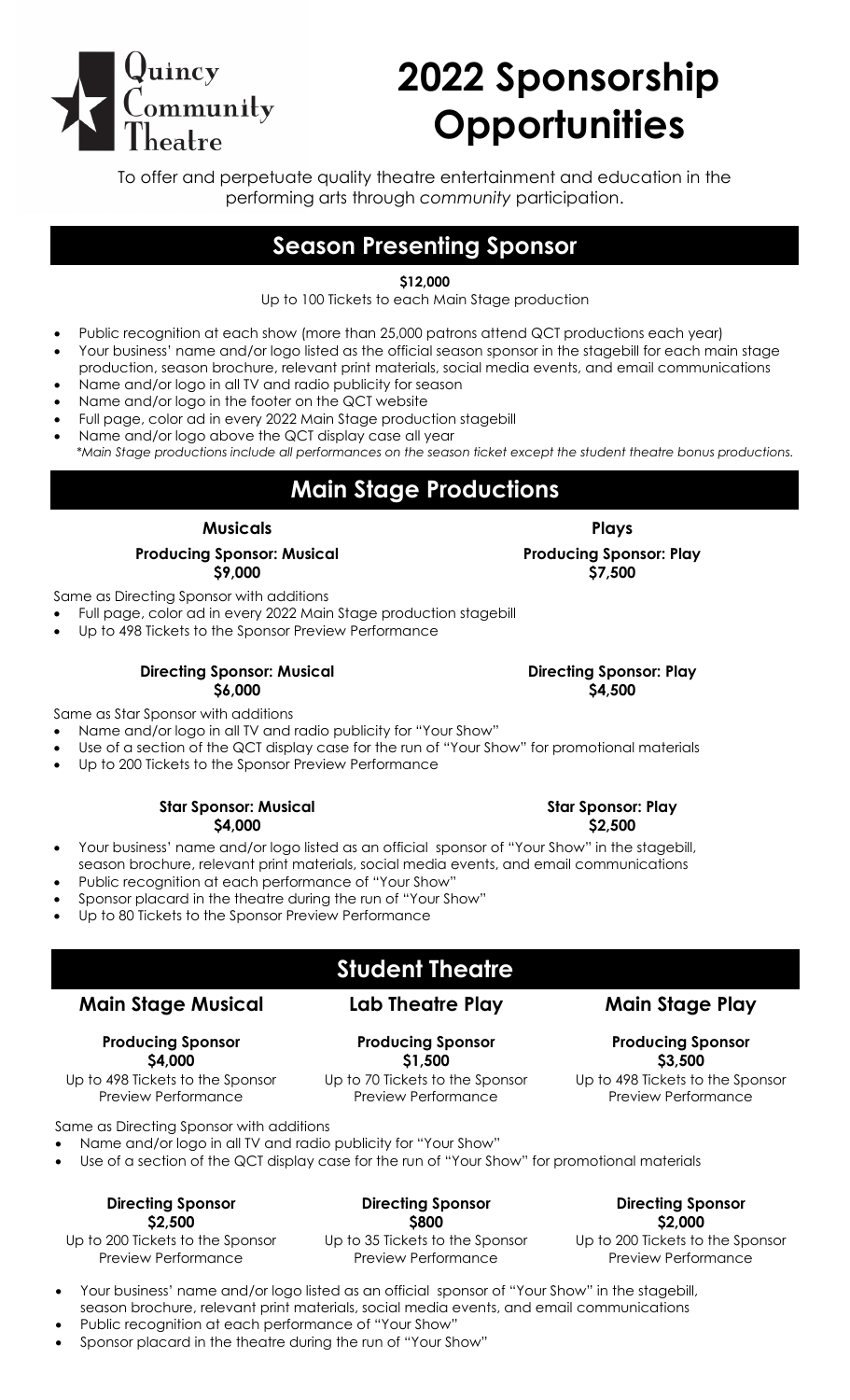# uincy  $\Box$ ommunity

# **2022 Sponsorship Opportunities**

To offer and perpetuate quality theatre entertainment and education in the performing arts through *community* participation.

# **Season Presenting Sponsor**

### **\$12,000**

Up to 100 Tickets to each Main Stage production

- Public recognition at each show (more than 25,000 patrons attend QCT productions each year)
- Your business' name and/or logo listed as the official season sponsor in the stagebill for each main stage production, season brochure, relevant print materials, social media events, and email communications
- Name and/or logo in all TV and radio publicity for season
- Name and/or logo in the footer on the QCT website
- Full page, color ad in every 2022 Main Stage production stagebill
- Name and/or logo above the QCT display case all year *\*Main Stage productions include all performances on the season ticket except the student theatre bonus productions.*

# **Main Stage Productions**

#### **Musicals Plays**

#### **Producing Sponsor: Musical \$9,000**

Same as Directing Sponsor with additions

- Full page, color ad in every 2022 Main Stage production stagebill
- Up to 498 Tickets to the Sponsor Preview Performance

#### **Directing Sponsor: Musical \$6,000**

Same as Star Sponsor with additions

- Name and/or logo in all TV and radio publicity for "Your Show"
- Use of a section of the QCT display case for the run of "Your Show" for promotional materials
- Up to 200 Tickets to the Sponsor Preview Performance

#### **Star Sponsor: Musical \$4,000**

- Your business' name and/or logo listed as an official sponsor of "Your Show" in the stagebill, season brochure, relevant print materials, social media events, and email communications
- Public recognition at each performance of "Your Show"
- Sponsor placard in the theatre during the run of "Your Show"
- Up to 80 Tickets to the Sponsor Preview Performance

# **Student Theatre**

**Producing Sponsor \$1,500** Up to 70 Tickets to the Sponsor Preview Performance

## **Main Stage Musical**

#### **Producing Sponsor \$4,000**

Up to 498 Tickets to the Sponsor Preview Performance

Same as Directing Sponsor with additions

- Name and/or logo in all TV and radio publicity for "Your Show"
- Use of a section of the QCT display case for the run of "Your Show" for promotional materials

#### **Directing Sponsor \$2,500**

Up to 200 Tickets to the Sponsor Preview Performance

### **Directing Sponsor \$800**

Up to 35 Tickets to the Sponsor Preview Performance

**Directing Sponsor \$2,000**

Up to 200 Tickets to the Sponsor Preview Performance

- Your business' name and/or logo listed as an official sponsor of "Your Show" in the stagebill, season brochure, relevant print materials, social media events, and email communications Public recognition at each performance of "Your Show"
- 
- Sponsor placard in the theatre during the run of "Your Show"

#### **Directing Sponsor: Play \$4,500**

**Lab Theatre Play Main Stage Play**

**Producing Sponsor \$3,500**

Up to 498 Tickets to the Sponsor Preview Performance

**Star Sponsor: Play \$2,500**